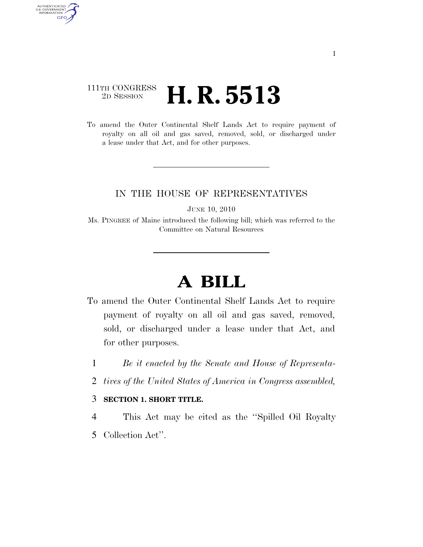### 111TH CONGRESS <sup>2D SESSION</sup> **H. R. 5513**

AUTHENTICATED<br>U.S. GOVERNMENT<br>INFORMATION GPO

> To amend the Outer Continental Shelf Lands Act to require payment of royalty on all oil and gas saved, removed, sold, or discharged under a lease under that Act, and for other purposes.

### IN THE HOUSE OF REPRESENTATIVES

JUNE 10, 2010

Ms. PINGREE of Maine introduced the following bill; which was referred to the Committee on Natural Resources

# **A BILL**

- To amend the Outer Continental Shelf Lands Act to require payment of royalty on all oil and gas saved, removed, sold, or discharged under a lease under that Act, and for other purposes.
	- 1 *Be it enacted by the Senate and House of Representa-*
	- 2 *tives of the United States of America in Congress assembled,*

#### 3 **SECTION 1. SHORT TITLE.**

- 4 This Act may be cited as the ''Spilled Oil Royalty
- 5 Collection Act''.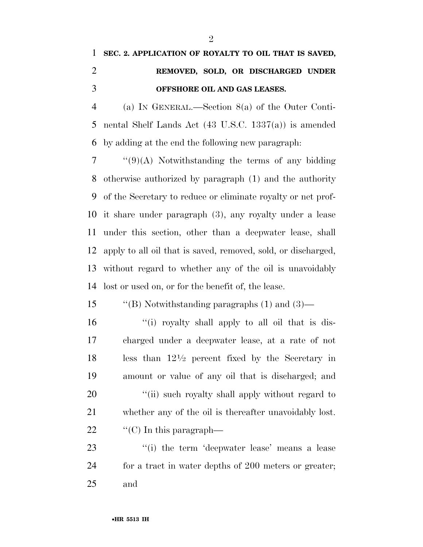## **SEC. 2. APPLICATION OF ROYALTY TO OIL THAT IS SAVED, REMOVED, SOLD, OR DISCHARGED UNDER OFFSHORE OIL AND GAS LEASES.**

 (a) IN GENERAL.—Section 8(a) of the Outer Conti- nental Shelf Lands Act (43 U.S.C. 1337(a)) is amended by adding at the end the following new paragraph:

 ''(9)(A) Notwithstanding the terms of any bidding otherwise authorized by paragraph (1) and the authority of the Secretary to reduce or eliminate royalty or net prof- it share under paragraph (3), any royalty under a lease under this section, other than a deepwater lease, shall apply to all oil that is saved, removed, sold, or discharged, without regard to whether any of the oil is unavoidably lost or used on, or for the benefit of, the lease.

''(B) Notwithstanding paragraphs (1) and (3)—

 ''(i) royalty shall apply to all oil that is dis- charged under a deepwater lease, at a rate of not 18 less than  $12\frac{1}{2}$  percent fixed by the Secretary in amount or value of any oil that is discharged; and 20 "(ii) such royalty shall apply without regard to whether any of the oil is thereafter unavoidably lost.  $\frac{1}{2}$  (C) In this paragraph—

23 ''(i) the term 'deepwater lease' means a lease for a tract in water depths of 200 meters or greater; and